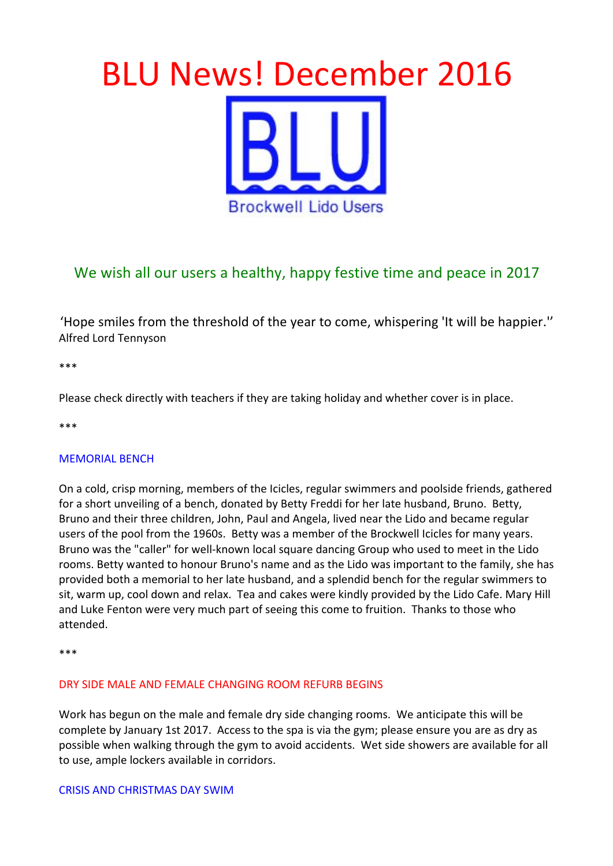# **BLU News! December 2016 Brockwell Lido Users**

# We wish all our users a healthy, happy festive time and peace in 2017

'Hope smiles from the threshold of the year to come, whispering 'It will be happier." Alfred Lord Tennyson

\*\*\*

Please check directly with teachers if they are taking holiday and whether cover is in place.

\*\*\*

# **MEMORIAL BENCH**

On a cold, crisp morning, members of the Icicles, regular swimmers and poolside friends, gathered for a short unveiling of a bench, donated by Betty Freddi for her late husband, Bruno. Betty, Bruno and their three children, John, Paul and Angela, lived near the Lido and became regular users of the pool from the 1960s. Betty was a member of the Brockwell Icicles for many years. Bruno was the "caller" for well-known local square dancing Group who used to meet in the Lido rooms. Betty wanted to honour Bruno's name and as the Lido was important to the family, she has provided both a memorial to her late husband, and a splendid bench for the regular swimmers to sit, warm up, cool down and relax. Tea and cakes were kindly provided by the Lido Cafe. Mary Hill and Luke Fenton were very much part of seeing this come to fruition. Thanks to those who attended.

\*\*\*

# DRY SIDE MALE AND FEMALE CHANGING ROOM REFURB BEGINS

Work has begun on the male and female dry side changing rooms. We anticipate this will be complete by January 1st 2017. Access to the spa is via the gym; please ensure you are as dry as possible when walking through the gym to avoid accidents. Wet side showers are available for all to use, ample lockers available in corridors.

#### CRISIS AND CHRISTMAS DAY SWIM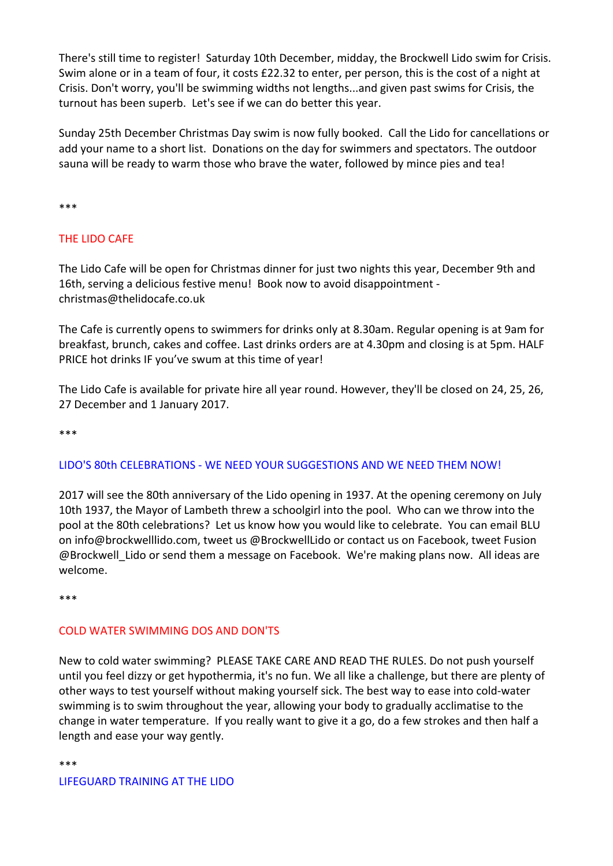There's still time to register! Saturday 10th December, midday, the Brockwell Lido swim for Crisis. Swim alone or in a team of four, it costs £22.32 to enter, per person, this is the cost of a night at Crisis. Don't worry, you'll be swimming widths not lengths...and given past swims for Crisis, the turnout has been superb. Let's see if we can do better this year.

Sunday 25th December Christmas Day swim is now fully booked. Call the Lido for cancellations or add your name to a short list. Donations on the day for swimmers and spectators. The outdoor sauna will be ready to warm those who brave the water, followed by mince pies and tea!

\*\*\*

# THE LIDO CAFE

The Lido Cafe will be open for Christmas dinner for just two nights this year, December 9th and 16th, serving a delicious festive menu! Book now to avoid disappointment christmas@thelidocafe.co.uk

The Cafe is currently opens to swimmers for drinks only at 8.30am. Regular opening is at 9am for breakfast, brunch, cakes and coffee. Last drinks orders are at 4.30pm and closing is at 5pm. HALF PRICE hot drinks IF you've swum at this time of year!

The Lido Cafe is available for private hire all year round. However, they'll be closed on 24, 25, 26, 27 December and 1 January 2017.

\*\*\*

# LIDO'S 80th CELEBRATIONS - WE NEED YOUR SUGGESTIONS AND WE NEED THEM NOW!

2017 will see the 80th anniversary of the Lido opening in 1937. At the opening ceremony on July 10th 1937, the Mayor of Lambeth threw a schoolgirl into the pool. Who can we throw into the pool at the 80th celebrations? Let us know how you would like to celebrate. You can email BLU on info@brockwelllido.com, tweet us @BrockwellLido or contact us on Facebook, tweet Fusion @Brockwell\_Lido or send them a message on Facebook. We're making plans now. All ideas are welcome.

\*\*\*

# COLD WATER SWIMMING DOS AND DON'TS

New to cold water swimming? PLEASE TAKE CARE AND READ THE RULES. Do not push yourself until you feel dizzy or get hypothermia, it's no fun. We all like a challenge, but there are plenty of other ways to test yourself without making yourself sick. The best way to ease into cold-water swimming is to swim throughout the year, allowing your body to gradually acclimatise to the change in water temperature. If you really want to give it a go, do a few strokes and then half a length and ease your way gently.